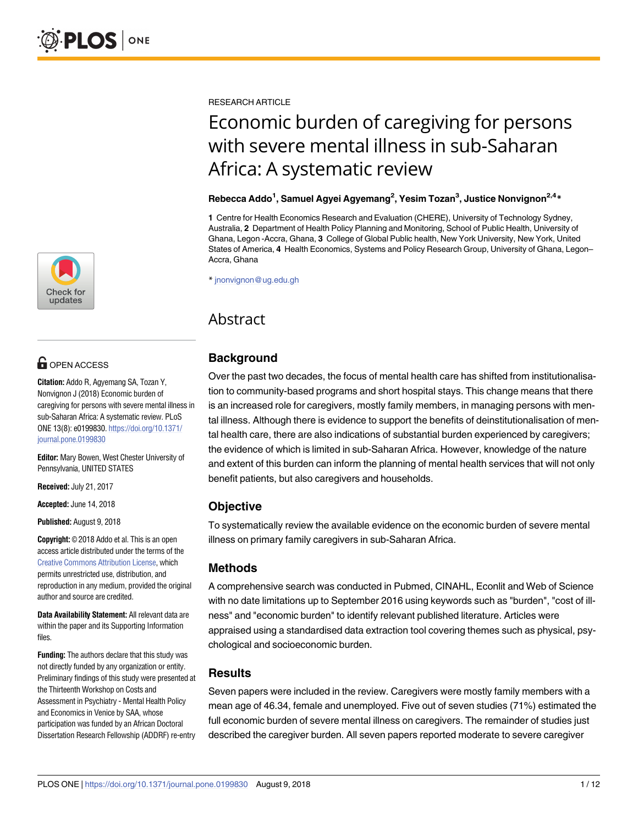

## **OPEN ACCESS**

**Citation:** Addo R, Agyemang SA, Tozan Y, Nonvignon J (2018) Economic burden of caregiving for persons with severe mental illness in sub-Saharan Africa: A systematic review. PLoS ONE 13(8): e0199830. [https://doi.org/10.1371/](https://doi.org/10.1371/journal.pone.0199830) [journal.pone.0199830](https://doi.org/10.1371/journal.pone.0199830)

**Editor:** Mary Bowen, West Chester University of Pennsylvania, UNITED STATES

**Received:** July 21, 2017

**Accepted:** June 14, 2018

**Published:** August 9, 2018

**Copyright:** © 2018 Addo et al. This is an open access article distributed under the terms of the Creative Commons [Attribution](http://creativecommons.org/licenses/by/4.0/) License, which permits unrestricted use, distribution, and reproduction in any medium, provided the original author and source are credited.

**Data Availability Statement:** All relevant data are within the paper and its Supporting Information files.

**Funding:** The authors declare that this study was not directly funded by any organization or entity. Preliminary findings of this study were presented at the Thirteenth Workshop on Costs and Assessment in Psychiatry - Mental Health Policy and Economics in Venice by SAA, whose participation was funded by an African Doctoral Dissertation Research Fellowship (ADDRF) re-entry

RESEARCH ARTICLE

# Economic burden of caregiving for persons with severe mental illness in sub-Saharan Africa: A systematic review

#### **Rebecca Addo1 , Samuel Agyei Agyemang2 , Yesim Tozan3 , Justice Nonvignon2,4\***

**1** Centre for Health Economics Research and Evaluation (CHERE), University of Technology Sydney, Australia, **2** Department of Health Policy Planning and Monitoring, School of Public Health, University of Ghana, Legon -Accra, Ghana, **3** College of Global Public health, New York University, New York, United States of America, **4** Health Economics, Systems and Policy Research Group, University of Ghana, Legon– Accra, Ghana

\* jnonvignon@ug.edu.gh

## Abstract

## **Background**

Over the past two decades, the focus of mental health care has shifted from institutionalisation to community-based programs and short hospital stays. This change means that there is an increased role for caregivers, mostly family members, in managing persons with mental illness. Although there is evidence to support the benefits of deinstitutionalisation of mental health care, there are also indications of substantial burden experienced by caregivers; the evidence of which is limited in sub-Saharan Africa. However, knowledge of the nature and extent of this burden can inform the planning of mental health services that will not only benefit patients, but also caregivers and households.

## **Objective**

To systematically review the available evidence on the economic burden of severe mental illness on primary family caregivers in sub-Saharan Africa.

### **Methods**

A comprehensive search was conducted in Pubmed, CINAHL, Econlit and Web of Science with no date limitations up to September 2016 using keywords such as "burden", "cost of illness" and "economic burden" to identify relevant published literature. Articles were appraised using a standardised data extraction tool covering themes such as physical, psychological and socioeconomic burden.

### **Results**

Seven papers were included in the review. Caregivers were mostly family members with a mean age of 46.34, female and unemployed. Five out of seven studies (71%) estimated the full economic burden of severe mental illness on caregivers. The remainder of studies just described the caregiver burden. All seven papers reported moderate to severe caregiver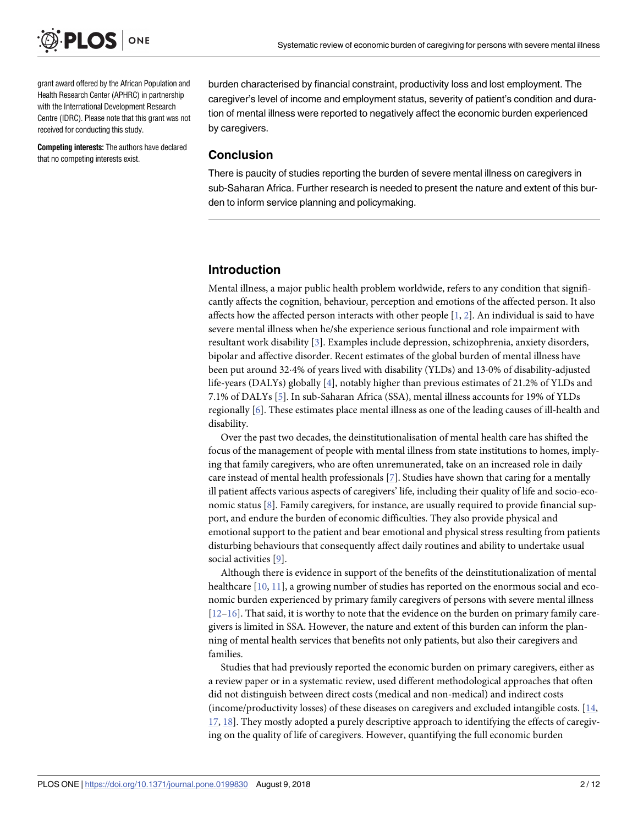<span id="page-1-0"></span>

grant award offered by the African Population and Health Research Center (APHRC) in partnership with the International Development Research Centre (IDRC). Please note that this grant was not received for conducting this study.

**Competing interests:** The authors have declared that no competing interests exist.

burden characterised by financial constraint, productivity loss and lost employment. The caregiver's level of income and employment status, severity of patient's condition and duration of mental illness were reported to negatively affect the economic burden experienced by caregivers.

#### **Conclusion**

There is paucity of studies reporting the burden of severe mental illness on caregivers in sub-Saharan Africa. Further research is needed to present the nature and extent of this burden to inform service planning and policymaking.

#### **Introduction**

Mental illness, a major public health problem worldwide, refers to any condition that significantly affects the cognition, behaviour, perception and emotions of the affected person. It also affects how the affected person interacts with other people [\[1,](#page-10-0) [2](#page-10-0)]. An individual is said to have severe mental illness when he/she experience serious functional and role impairment with resultant work disability [\[3\]](#page-10-0). Examples include depression, schizophrenia, anxiety disorders, bipolar and affective disorder. Recent estimates of the global burden of mental illness have been put around 324% of years lived with disability (YLDs) and 130% of disability-adjusted life-years (DALYs) globally [[4](#page-10-0)], notably higher than previous estimates of 21.2% of YLDs and 7.1% of DALYs [[5\]](#page-10-0). In sub-Saharan Africa (SSA), mental illness accounts for 19% of YLDs regionally [\[6\]](#page-10-0). These estimates place mental illness as one of the leading causes of ill-health and disability.

Over the past two decades, the deinstitutionalisation of mental health care has shifted the focus of the management of people with mental illness from state institutions to homes, implying that family caregivers, who are often unremunerated, take on an increased role in daily care instead of mental health professionals [[7\]](#page-10-0). Studies have shown that caring for a mentally ill patient affects various aspects of caregivers' life, including their quality of life and socio-economic status [\[8\]](#page-10-0). Family caregivers, for instance, are usually required to provide financial support, and endure the burden of economic difficulties. They also provide physical and emotional support to the patient and bear emotional and physical stress resulting from patients disturbing behaviours that consequently affect daily routines and ability to undertake usual social activities [\[9\]](#page-10-0).

Although there is evidence in support of the benefits of the deinstitutionalization of mental healthcare [[10](#page-10-0), [11](#page-10-0)], a growing number of studies has reported on the enormous social and economic burden experienced by primary family caregivers of persons with severe mental illness [\[12–16\]](#page-10-0). That said, it is worthy to note that the evidence on the burden on primary family caregivers is limited in SSA. However, the nature and extent of this burden can inform the planning of mental health services that benefits not only patients, but also their caregivers and families.

Studies that had previously reported the economic burden on primary caregivers, either as a review paper or in a systematic review, used different methodological approaches that often did not distinguish between direct costs (medical and non-medical) and indirect costs (income/productivity losses) of these diseases on caregivers and excluded intangible costs. [\[14,](#page-10-0) [17,](#page-10-0) [18](#page-10-0)]. They mostly adopted a purely descriptive approach to identifying the effects of caregiving on the quality of life of caregivers. However, quantifying the full economic burden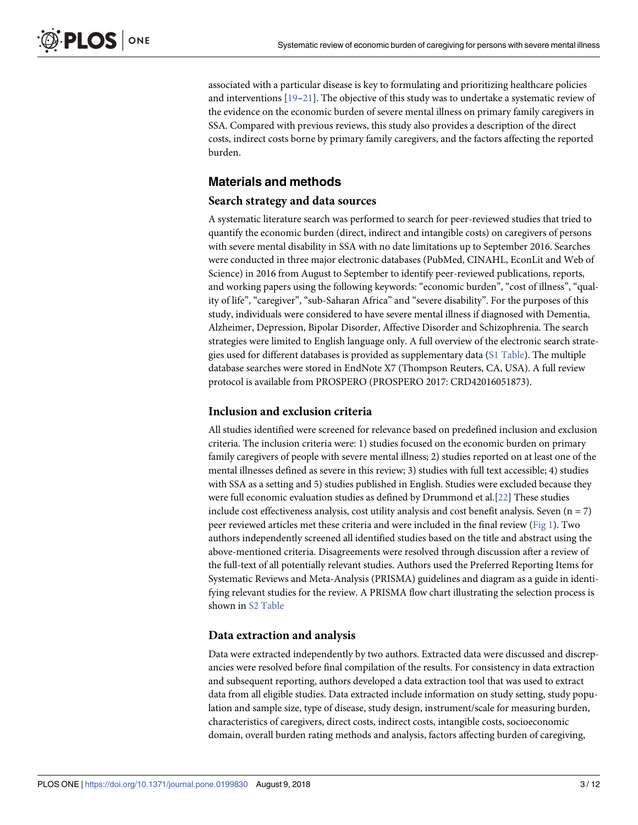<span id="page-2-0"></span>associated with a particular disease is key to formulating and prioritizing healthcare policies and interventions [\[19–21](#page-10-0)]. The objective of this study was to undertake a systematic review of the evidence on the economic burden of severe mental illness on primary family caregivers in SSA. Compared with previous reviews, this study also provides a description of the direct costs, indirect costs borne by primary family caregivers, and the factors affecting the reported burden.

#### **Materials and methods**

#### **Search strategy and data sources**

A systematic literature search was performed to search for peer-reviewed studies that tried to quantify the economic burden (direct, indirect and intangible costs) on caregivers of persons with severe mental disability in SSA with no date limitations up to September 2016. Searches were conducted in three major electronic databases (PubMed, CINAHL, EconLit and Web of Science) in 2016 from August to September to identify peer-reviewed publications, reports, and working papers using the following keywords: "economic burden", "cost of illness", "quality of life", "caregiver", "sub-Saharan Africa" and "severe disability". For the purposes of this study, individuals were considered to have severe mental illness if diagnosed with Dementia, Alzheimer, Depression, Bipolar Disorder, Affective Disorder and Schizophrenia. The search strategies were limited to English language only. A full overview of the electronic search strategies used for different databases is provided as supplementary data (S1 [Table](#page-9-0)). The multiple database searches were stored in EndNote X7 (Thompson Reuters, CA, USA). A full review protocol is available from PROSPERO (PROSPERO 2017: CRD42016051873).

#### **Inclusion and exclusion criteria**

All studies identified were screened for relevance based on predefined inclusion and exclusion criteria. The inclusion criteria were: 1) studies focused on the economic burden on primary family caregivers of people with severe mental illness; 2) studies reported on at least one of the mental illnesses defined as severe in this review; 3) studies with full text accessible; 4) studies with SSA as a setting and 5) studies published in English. Studies were excluded because they were full economic evaluation studies as defined by Drummond et al.[\[22\]](#page-10-0) These studies include cost effectiveness analysis, cost utility analysis and cost benefit analysis. Seven  $(n = 7)$ peer reviewed articles met these criteria and were included in the final review [\(Fig](#page-3-0) 1). Two authors independently screened all identified studies based on the title and abstract using the above-mentioned criteria. Disagreements were resolved through discussion after a review of the full-text of all potentially relevant studies. Authors used the Preferred Reporting Items for Systematic Reviews and Meta-Analysis (PRISMA) guidelines and diagram as a guide in identifying relevant studies for the review. A PRISMA flow chart illustrating the selection process is shown in S2 [Table](#page-9-0)

#### **Data extraction and analysis**

Data were extracted independently by two authors. Extracted data were discussed and discrepancies were resolved before final compilation of the results. For consistency in data extraction and subsequent reporting, authors developed a data extraction tool that was used to extract data from all eligible studies. Data extracted include information on study setting, study population and sample size, type of disease, study design, instrument/scale for measuring burden, characteristics of caregivers, direct costs, indirect costs, intangible costs, socioeconomic domain, overall burden rating methods and analysis, factors affecting burden of caregiving,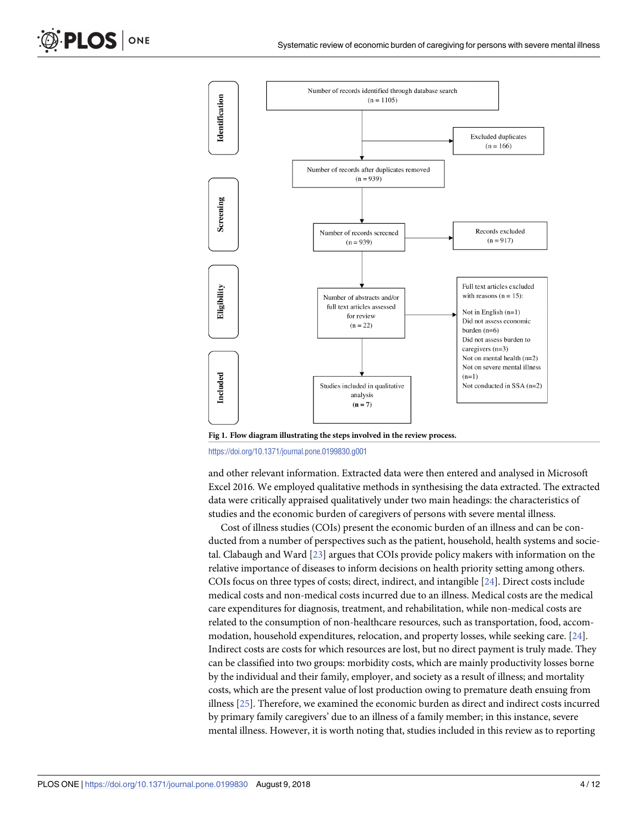

**[Fig](#page-2-0) 1. Flow diagram illustrating the steps involved in the review process.**

<https://doi.org/10.1371/journal.pone.0199830.g001>

and other relevant information. Extracted data were then entered and analysed in Microsoft Excel 2016. We employed qualitative methods in synthesising the data extracted. The extracted data were critically appraised qualitatively under two main headings: the characteristics of studies and the economic burden of caregivers of persons with severe mental illness.

Cost of illness studies (COIs) present the economic burden of an illness and can be conducted from a number of perspectives such as the patient, household, health systems and societal. Clabaugh and Ward [\[23\]](#page-11-0) argues that COIs provide policy makers with information on the relative importance of diseases to inform decisions on health priority setting among others. COIs focus on three types of costs; direct, indirect, and intangible [\[24\]](#page-11-0). Direct costs include medical costs and non-medical costs incurred due to an illness. Medical costs are the medical care expenditures for diagnosis, treatment, and rehabilitation, while non-medical costs are related to the consumption of non-healthcare resources, such as transportation, food, accommodation, household expenditures, relocation, and property losses, while seeking care. [\[24\]](#page-11-0). Indirect costs are costs for which resources are lost, but no direct payment is truly made. They can be classified into two groups: morbidity costs, which are mainly productivity losses borne by the individual and their family, employer, and society as a result of illness; and mortality costs, which are the present value of lost production owing to premature death ensuing from illness [\[25\]](#page-11-0). Therefore, we examined the economic burden as direct and indirect costs incurred by primary family caregivers' due to an illness of a family member; in this instance, severe mental illness. However, it is worth noting that, studies included in this review as to reporting

<span id="page-3-0"></span>PLOS ONE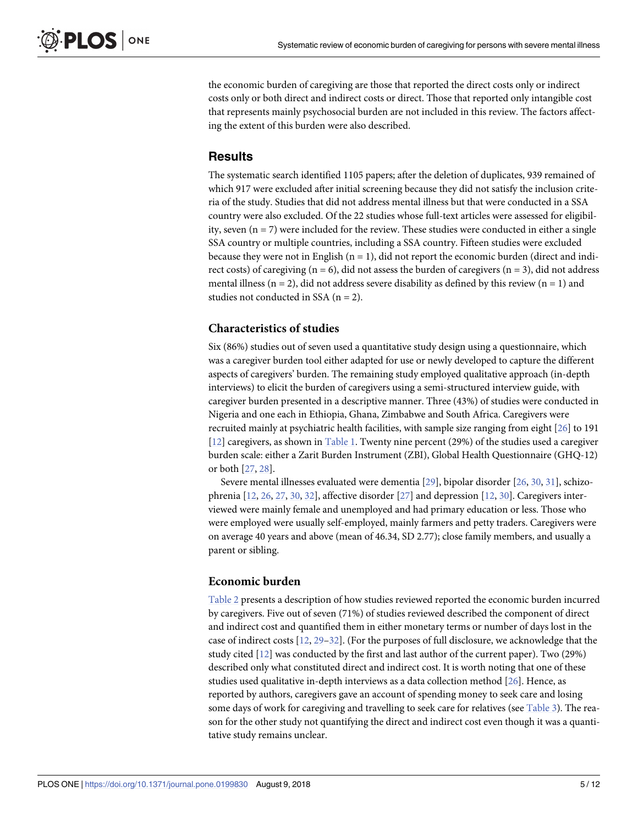<span id="page-4-0"></span>the economic burden of caregiving are those that reported the direct costs only or indirect costs only or both direct and indirect costs or direct. Those that reported only intangible cost that represents mainly psychosocial burden are not included in this review. The factors affecting the extent of this burden were also described.

#### **Results**

The systematic search identified 1105 papers; after the deletion of duplicates, 939 remained of which 917 were excluded after initial screening because they did not satisfy the inclusion criteria of the study. Studies that did not address mental illness but that were conducted in a SSA country were also excluded. Of the 22 studies whose full-text articles were assessed for eligibility, seven  $(n = 7)$  were included for the review. These studies were conducted in either a single SSA country or multiple countries, including a SSA country. Fifteen studies were excluded because they were not in English  $(n = 1)$ , did not report the economic burden (direct and indirect costs) of caregiving ( $n = 6$ ), did not assess the burden of caregivers ( $n = 3$ ), did not address mental illness ( $n = 2$ ), did not address severe disability as defined by this review ( $n = 1$ ) and studies not conducted in SSA  $(n = 2)$ .

#### **Characteristics of studies**

Six (86%) studies out of seven used a quantitative study design using a questionnaire, which was a caregiver burden tool either adapted for use or newly developed to capture the different aspects of caregivers' burden. The remaining study employed qualitative approach (in-depth interviews) to elicit the burden of caregivers using a semi-structured interview guide, with caregiver burden presented in a descriptive manner. Three (43%) of studies were conducted in Nigeria and one each in Ethiopia, Ghana, Zimbabwe and South Africa. Caregivers were recruited mainly at psychiatric health facilities, with sample size ranging from eight [\[26\]](#page-11-0) to 191 [\[12\]](#page-10-0) caregivers, as shown in [Table](#page-5-0) 1. Twenty nine percent (29%) of the studies used a caregiver burden scale: either a Zarit Burden Instrument (ZBI), Global Health Questionnaire (GHQ-12) or both [\[27,](#page-11-0) [28](#page-11-0)].

Severe mental illnesses evaluated were dementia [[29](#page-11-0)], bipolar disorder [[26](#page-11-0), [30](#page-11-0), [31](#page-11-0)], schizophrenia [[12](#page-10-0), [26,](#page-11-0) [27,](#page-11-0) [30,](#page-11-0) [32\]](#page-11-0), affective disorder [\[27\]](#page-11-0) and depression [\[12,](#page-10-0) [30\]](#page-11-0). Caregivers interviewed were mainly female and unemployed and had primary education or less. Those who were employed were usually self-employed, mainly farmers and petty traders. Caregivers were on average 40 years and above (mean of 46.34, SD 2.77); close family members, and usually a parent or sibling.

#### **Economic burden**

[Table](#page-6-0) 2 presents a description of how studies reviewed reported the economic burden incurred by caregivers. Five out of seven (71%) of studies reviewed described the component of direct and indirect cost and quantified them in either monetary terms or number of days lost in the case of indirect costs [\[12,](#page-10-0) [29–32\]](#page-11-0). (For the purposes of full disclosure, we acknowledge that the study cited [[12](#page-10-0)] was conducted by the first and last author of the current paper). Two (29%) described only what constituted direct and indirect cost. It is worth noting that one of these studies used qualitative in-depth interviews as a data collection method [[26](#page-11-0)]. Hence, as reported by authors, caregivers gave an account of spending money to seek care and losing some days of work for caregiving and travelling to seek care for relatives (see [Table](#page-7-0) 3). The reason for the other study not quantifying the direct and indirect cost even though it was a quantitative study remains unclear.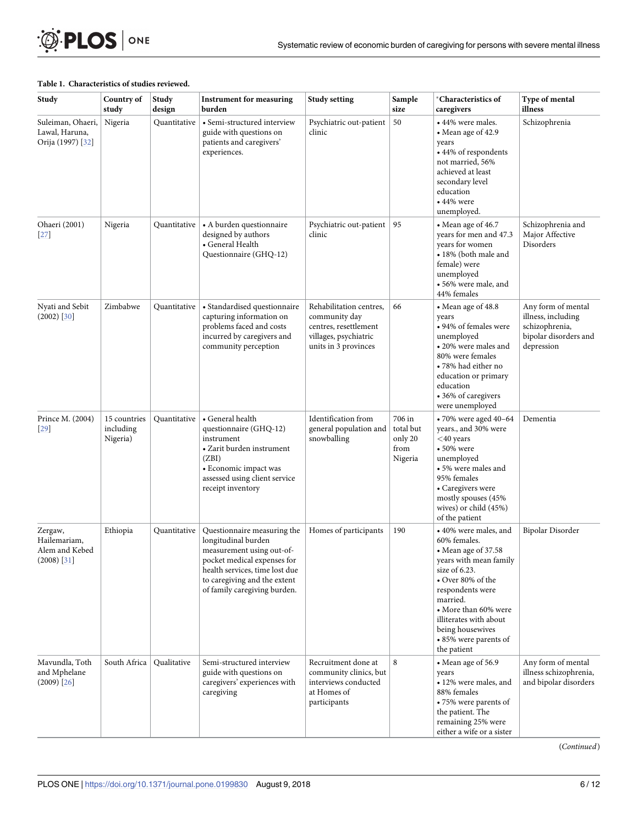#### <span id="page-5-0"></span>**[Table](#page-4-0) 1. Characteristics of studies reviewed.**

| Study                                                      | Country of<br>study                   | Study<br>design | <b>Instrument for measuring</b><br>burden                                                                                                                                                                        | <b>Study setting</b>                                                                                               | Sample<br>size                                    | <i><b>Characteristics of</b></i><br>caregivers                                                                                                                                                                                                                                | Type of mental<br>illness                                                                         |
|------------------------------------------------------------|---------------------------------------|-----------------|------------------------------------------------------------------------------------------------------------------------------------------------------------------------------------------------------------------|--------------------------------------------------------------------------------------------------------------------|---------------------------------------------------|-------------------------------------------------------------------------------------------------------------------------------------------------------------------------------------------------------------------------------------------------------------------------------|---------------------------------------------------------------------------------------------------|
| Suleiman, Ohaeri,<br>Lawal, Haruna,<br>Orija (1997) [32]   | Nigeria                               | Quantitative    | • Semi-structured interview<br>guide with questions on<br>patients and caregivers'<br>experiences.                                                                                                               | Psychiatric out-patient<br>clinic                                                                                  | 50                                                | • 44% were males.<br>• Mean age of 42.9<br>years<br>• 44% of respondents<br>not married, 56%<br>achieved at least<br>secondary level<br>education<br>$\cdot$ 44% were<br>unemployed.                                                                                          | Schizophrenia                                                                                     |
| Ohaeri (2001)<br>$[27]$                                    | Nigeria                               | Quantitative    | • A burden questionnaire<br>designed by authors<br>• General Health<br>Questionnaire (GHQ-12)                                                                                                                    | Psychiatric out-patient<br>clinic                                                                                  | 95                                                | • Mean age of 46.7<br>years for men and 47.3<br>years for women<br>• 18% (both male and<br>female) were<br>unemployed<br>• 56% were male, and<br>44% females                                                                                                                  | Schizophrenia and<br>Major Affective<br>Disorders                                                 |
| Nyati and Sebit<br>$(2002)$ [30]                           | Zimbabwe                              | Quantitative    | • Standardised questionnaire<br>capturing information on<br>problems faced and costs<br>incurred by caregivers and<br>community perception                                                                       | Rehabilitation centres,<br>community day<br>centres, resettlement<br>villages, psychiatric<br>units in 3 provinces | 66                                                | • Mean age of 48.8<br>years<br>• 94% of females were<br>unemployed<br>• 20% were males and<br>80% were females<br>• 78% had either no<br>education or primary<br>education<br>• 36% of caregivers<br>were unemployed                                                          | Any form of mental<br>illness, including<br>schizophrenia,<br>bipolar disorders and<br>depression |
| Prince M. (2004)<br>$[29]$                                 | 15 countries<br>including<br>Nigeria) | Quantitative    | • General health<br>questionnaire (GHQ-12)<br>instrument<br>• Zarit burden instrument<br>(ZBI)<br>• Economic impact was<br>assessed using client service<br>receipt inventory                                    | Identification from<br>general population and<br>snowballing                                                       | 706 in<br>total but<br>only 20<br>from<br>Nigeria | $\cdot$ 70% were aged 40-64<br>years., and 30% were<br>$<$ 40 years<br>$\cdot$ 50% were<br>unemployed<br>• 5% were males and<br>95% females<br>• Caregivers were<br>mostly spouses (45%<br>wives) or child (45%)<br>of the patient                                            | Dementia                                                                                          |
| Zergaw,<br>Hailemariam,<br>Alem and Kebed<br>$(2008)$ [31] | Ethiopia                              | Quantitative    | Questionnaire measuring the<br>longitudinal burden<br>measurement using out-of-<br>pocket medical expenses for<br>health services, time lost due<br>to caregiving and the extent<br>of family caregiving burden. | Homes of participants                                                                                              | 190                                               | • 40% were males, and<br>60% females.<br>• Mean age of 37.58<br>years with mean family<br>size of $6.23$ .<br>• Over 80% of the<br>respondents were<br>married.<br>• More than 60% were<br>illiterates with about<br>being housewives<br>• 85% were parents of<br>the patient | Bipolar Disorder                                                                                  |
| Mavundla, Toth<br>and Mphelane<br>$(2009)$ [26]            | South Africa                          | Qualitative     | Semi-structured interview<br>guide with questions on<br>caregivers' experiences with<br>caregiving                                                                                                               | Recruitment done at<br>community clinics, but<br>interviews conducted<br>at Homes of<br>participants               | 8                                                 | • Mean age of 56.9<br>years<br>• 12% were males, and<br>88% females<br>• 75% were parents of<br>the patient. The<br>remaining 25% were<br>either a wife or a sister                                                                                                           | Any form of mental<br>illness schizophrenia,<br>and bipolar disorders                             |

(*Continued*)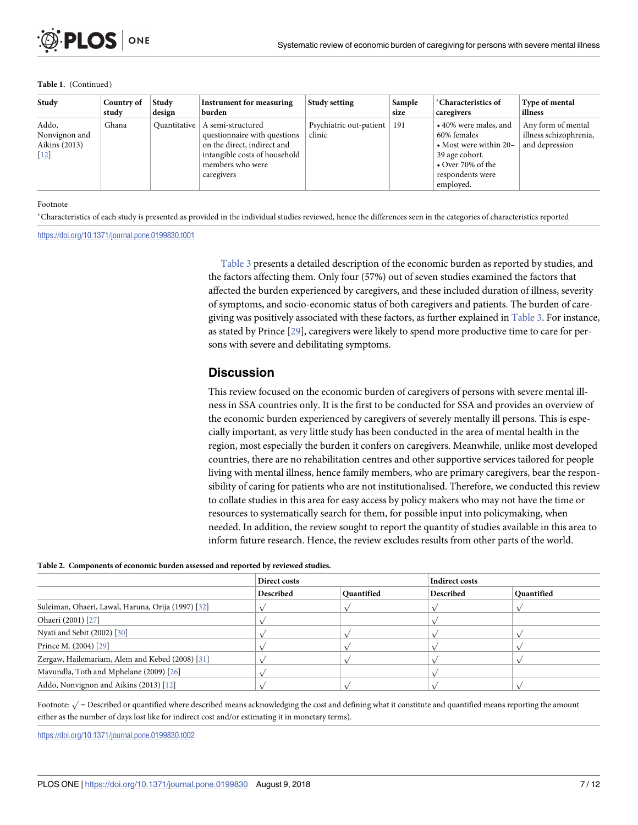#### <span id="page-6-0"></span>**Table 1.** (Continued)

| Study                                                         | Country of<br>study | Study<br>design | <b>Instrument for measuring</b><br>burden                                                                                                           | <b>Study setting</b>              | Sample<br>size | *Characteristics of<br>caregivers                                                                                                                | Type of mental<br>illness                                      |
|---------------------------------------------------------------|---------------------|-----------------|-----------------------------------------------------------------------------------------------------------------------------------------------------|-----------------------------------|----------------|--------------------------------------------------------------------------------------------------------------------------------------------------|----------------------------------------------------------------|
| Addo.<br>Nonvignon and<br>Aikins (2013)<br>$\lceil 12 \rceil$ | Ghana               | Quantitative    | A semi-structured<br>questionnaire with questions<br>on the direct, indirect and<br>intangible costs of household<br>members who were<br>caregivers | Psychiatric out-patient<br>clinic | 191            | • 40% were males, and<br>60% females<br>• Most were within $20-$<br>39 age cohort.<br>$\bullet$ Over 70% of the<br>respondents were<br>employed. | Any form of mental<br>illness schizophrenia,<br>and depression |

#### Footnote

Characteristics of each study is presented as provided in the individual studies reviewed, hence the differences seen in the categories of characteristics reported

#### <https://doi.org/10.1371/journal.pone.0199830.t001>

[Table](#page-7-0) 3 presents a detailed description of the economic burden as reported by studies, and the factors affecting them. Only four (57%) out of seven studies examined the factors that affected the burden experienced by caregivers, and these included duration of illness, severity of symptoms, and socio-economic status of both caregivers and patients. The burden of caregiving was positively associated with these factors, as further explained in [Table](#page-7-0) 3. For instance, as stated by Prince [\[29\]](#page-11-0), caregivers were likely to spend more productive time to care for persons with severe and debilitating symptoms.

#### **Discussion**

This review focused on the economic burden of caregivers of persons with severe mental illness in SSA countries only. It is the first to be conducted for SSA and provides an overview of the economic burden experienced by caregivers of severely mentally ill persons. This is especially important, as very little study has been conducted in the area of mental health in the region, most especially the burden it confers on caregivers. Meanwhile, unlike most developed countries, there are no rehabilitation centres and other supportive services tailored for people living with mental illness, hence family members, who are primary caregivers, bear the responsibility of caring for patients who are not institutionalised. Therefore, we conducted this review to collate studies in this area for easy access by policy makers who may not have the time or resources to systematically search for them, for possible input into policymaking, when needed. In addition, the review sought to report the quantity of studies available in this area to inform future research. Hence, the review excludes results from other parts of the world.

#### **[Table](#page-4-0) 2. Components of economic burden assessed and reported by reviewed studies.**

|                                                    | Direct costs |            | <b>Indirect costs</b> |            |  |
|----------------------------------------------------|--------------|------------|-----------------------|------------|--|
|                                                    | Described    | Quantified | Described             | Quantified |  |
| Suleiman, Ohaeri, Lawal, Haruna, Orija (1997) [32] |              |            |                       |            |  |
| Ohaeri (2001) [27]                                 |              |            |                       |            |  |
| Nyati and Sebit (2002) [30]                        |              |            |                       |            |  |
| Prince M. (2004) [29]                              |              |            |                       |            |  |
| Zergaw, Hailemariam, Alem and Kebed (2008) [31]    |              |            |                       |            |  |
| Mavundla, Toth and Mphelane (2009) [26]            |              |            |                       |            |  |
| Addo, Nonvignon and Aikins (2013) [12]             |              |            |                       |            |  |

Footnote:  $\sqrt{ }$  = Described or quantified where described means acknowledging the cost and defining what it constitute and quantified means reporting the amount either as the number of days lost like for indirect cost and/or estimating it in monetary terms).

<https://doi.org/10.1371/journal.pone.0199830.t002>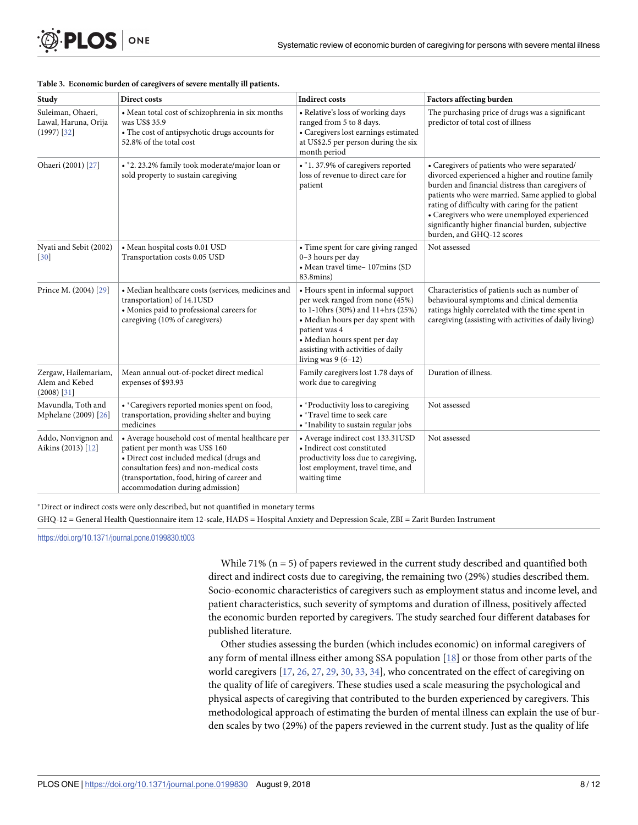<span id="page-7-0"></span>

| OPLOS ONE |  |
|-----------|--|
|-----------|--|

| Study                                                      | Direct costs                                                                                                                                                                                                                                                   | <b>Indirect costs</b>                                                                                                                                                                                                                                         | Factors affecting burden                                                                                                                                                                                                                                                                                                                                                                        |
|------------------------------------------------------------|----------------------------------------------------------------------------------------------------------------------------------------------------------------------------------------------------------------------------------------------------------------|---------------------------------------------------------------------------------------------------------------------------------------------------------------------------------------------------------------------------------------------------------------|-------------------------------------------------------------------------------------------------------------------------------------------------------------------------------------------------------------------------------------------------------------------------------------------------------------------------------------------------------------------------------------------------|
| Suleiman, Ohaeri,<br>Lawal, Haruna, Orija<br>$(1997)$ [32] | • Mean total cost of schizophrenia in six months<br>was US\$ 35.9<br>• The cost of antipsychotic drugs accounts for<br>52.8% of the total cost                                                                                                                 | • Relative's loss of working days<br>ranged from 5 to 8 days.<br>• Caregivers lost earnings estimated<br>at US\$2.5 per person during the six<br>month period                                                                                                 | The purchasing price of drugs was a significant<br>predictor of total cost of illness                                                                                                                                                                                                                                                                                                           |
| Ohaeri (2001) [27]                                         | • *2. 23.2% family took moderate/major loan or<br>sold property to sustain caregiving                                                                                                                                                                          | • *1. 37.9% of caregivers reported<br>loss of revenue to direct care for<br>patient                                                                                                                                                                           | • Caregivers of patients who were separated/<br>divorced experienced a higher and routine family<br>burden and financial distress than caregivers of<br>patients who were married. Same applied to global<br>rating of difficulty with caring for the patient<br>• Caregivers who were unemployed experienced<br>significantly higher financial burden, subjective<br>burden, and GHQ-12 scores |
| Nyati and Sebit (2002)<br>$[30]$                           | • Mean hospital costs 0.01 USD<br>Transportation costs 0.05 USD                                                                                                                                                                                                | • Time spent for care giving ranged<br>0-3 hours per day<br>• Mean travel time-107mins (SD<br>83.8mins)                                                                                                                                                       | Not assessed                                                                                                                                                                                                                                                                                                                                                                                    |
| Prince M. (2004) [29]                                      | • Median healthcare costs (services, medicines and<br>transportation) of 14.1USD<br>• Monies paid to professional careers for<br>caregiving (10% of caregivers)                                                                                                | • Hours spent in informal support<br>per week ranged from none (45%)<br>to 1-10hrs (30%) and 11+hrs (25%)<br>• Median hours per day spent with<br>patient was 4<br>• Median hours spent per day<br>assisting with activities of daily<br>living was $9(6-12)$ | Characteristics of patients such as number of<br>behavioural symptoms and clinical dementia<br>ratings highly correlated with the time spent in<br>caregiving (assisting with activities of daily living)                                                                                                                                                                                       |
| Zergaw, Hailemariam,<br>Alem and Kebed<br>$(2008)$ [31]    | Mean annual out-of-pocket direct medical<br>expenses of \$93.93                                                                                                                                                                                                | Family caregivers lost 1.78 days of<br>work due to caregiving                                                                                                                                                                                                 | Duration of illness.                                                                                                                                                                                                                                                                                                                                                                            |
| Mavundla, Toth and<br>Mphelane (2009) [26]                 | • *Caregivers reported monies spent on food,<br>transportation, providing shelter and buying<br>medicines                                                                                                                                                      | • * Productivity loss to caregiving<br>• *Travel time to seek care<br>• * Inability to sustain regular jobs                                                                                                                                                   | Not assessed                                                                                                                                                                                                                                                                                                                                                                                    |
| Addo, Nonvignon and<br>Aikins (2013) [12]                  | • Average household cost of mental healthcare per<br>patient per month was US\$ 160<br>• Direct cost included medical (drugs and<br>consultation fees) and non-medical costs<br>(transportation, food, hiring of career and<br>accommodation during admission) | • Average indirect cost 133.31USD<br>• Indirect cost constituted<br>productivity loss due to caregiving,<br>lost employment, travel time, and<br>waiting time                                                                                                 | Not assessed                                                                                                                                                                                                                                                                                                                                                                                    |

#### **[Table](#page-4-0) 3. Economic burden of caregivers of severe mentally ill patients.**

Direct or indirect costs were only described, but not quantified in monetary terms

GHQ-12 = General Health Questionnaire item 12-scale, HADS = Hospital Anxiety and Depression Scale, ZBI = Zarit Burden Instrument

<https://doi.org/10.1371/journal.pone.0199830.t003>

While  $71\%$  (n = 5) of papers reviewed in the current study described and quantified both direct and indirect costs due to caregiving, the remaining two (29%) studies described them. Socio-economic characteristics of caregivers such as employment status and income level, and patient characteristics, such severity of symptoms and duration of illness, positively affected the economic burden reported by caregivers. The study searched four different databases for published literature.

Other studies assessing the burden (which includes economic) on informal caregivers of any form of mental illness either among SSA population [[18](#page-10-0)] or those from other parts of the world caregivers [\[17,](#page-10-0) [26,](#page-11-0) [27,](#page-11-0) [29,](#page-11-0) [30](#page-11-0), [33](#page-11-0), [34](#page-11-0)], who concentrated on the effect of caregiving on the quality of life of caregivers. These studies used a scale measuring the psychological and physical aspects of caregiving that contributed to the burden experienced by caregivers. This methodological approach of estimating the burden of mental illness can explain the use of burden scales by two (29%) of the papers reviewed in the current study. Just as the quality of life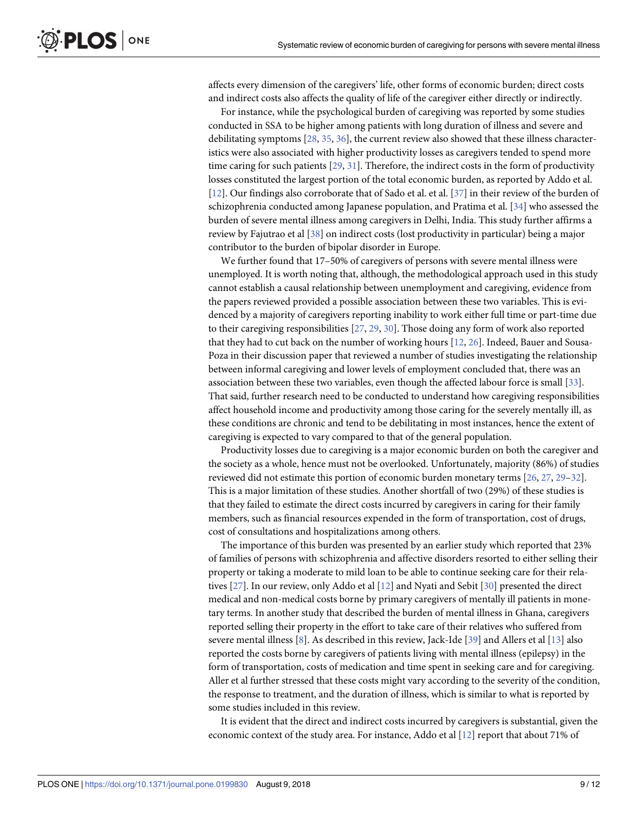<span id="page-8-0"></span>affects every dimension of the caregivers' life, other forms of economic burden; direct costs and indirect costs also affects the quality of life of the caregiver either directly or indirectly.

For instance, while the psychological burden of caregiving was reported by some studies conducted in SSA to be higher among patients with long duration of illness and severe and debilitating symptoms [[28](#page-11-0), [35](#page-11-0), [36](#page-11-0)], the current review also showed that these illness characteristics were also associated with higher productivity losses as caregivers tended to spend more time caring for such patients [\[29,](#page-11-0) [31\]](#page-11-0). Therefore, the indirect costs in the form of productivity losses constituted the largest portion of the total economic burden, as reported by Addo et al. [\[12\]](#page-10-0). Our findings also corroborate that of Sado et al. et al. [[37](#page-11-0)] in their review of the burden of schizophrenia conducted among Japanese population, and Pratima et al. [[34](#page-11-0)] who assessed the burden of severe mental illness among caregivers in Delhi, India. This study further affirms a review by Fajutrao et al [[38](#page-11-0)] on indirect costs (lost productivity in particular) being a major contributor to the burden of bipolar disorder in Europe.

We further found that 17–50% of caregivers of persons with severe mental illness were unemployed. It is worth noting that, although, the methodological approach used in this study cannot establish a causal relationship between unemployment and caregiving, evidence from the papers reviewed provided a possible association between these two variables. This is evidenced by a majority of caregivers reporting inability to work either full time or part-time due to their caregiving responsibilities [\[27,](#page-11-0) [29,](#page-11-0) [30\]](#page-11-0). Those doing any form of work also reported that they had to cut back on the number of working hours [[12](#page-10-0), [26](#page-11-0)]. Indeed, Bauer and Sousa-Poza in their discussion paper that reviewed a number of studies investigating the relationship between informal caregiving and lower levels of employment concluded that, there was an association between these two variables, even though the affected labour force is small [[33](#page-11-0)]. That said, further research need to be conducted to understand how caregiving responsibilities affect household income and productivity among those caring for the severely mentally ill, as these conditions are chronic and tend to be debilitating in most instances, hence the extent of caregiving is expected to vary compared to that of the general population.

Productivity losses due to caregiving is a major economic burden on both the caregiver and the society as a whole, hence must not be overlooked. Unfortunately, majority (86%) of studies reviewed did not estimate this portion of economic burden monetary terms [[26](#page-11-0), [27](#page-11-0), [29–32\]](#page-11-0). This is a major limitation of these studies. Another shortfall of two (29%) of these studies is that they failed to estimate the direct costs incurred by caregivers in caring for their family members, such as financial resources expended in the form of transportation, cost of drugs, cost of consultations and hospitalizations among others.

The importance of this burden was presented by an earlier study which reported that 23% of families of persons with schizophrenia and affective disorders resorted to either selling their property or taking a moderate to mild loan to be able to continue seeking care for their relatives [[27](#page-11-0)]. In our review, only Addo et al [\[12\]](#page-10-0) and Nyati and Sebit [\[30\]](#page-11-0) presented the direct medical and non-medical costs borne by primary caregivers of mentally ill patients in monetary terms. In another study that described the burden of mental illness in Ghana, caregivers reported selling their property in the effort to take care of their relatives who suffered from severe mental illness [[8\]](#page-10-0). As described in this review, Jack-Ide [\[39\]](#page-11-0) and Allers et al [\[13\]](#page-10-0) also reported the costs borne by caregivers of patients living with mental illness (epilepsy) in the form of transportation, costs of medication and time spent in seeking care and for caregiving. Aller et al further stressed that these costs might vary according to the severity of the condition, the response to treatment, and the duration of illness, which is similar to what is reported by some studies included in this review.

It is evident that the direct and indirect costs incurred by caregivers is substantial, given the economic context of the study area. For instance, Addo et al [\[12\]](#page-10-0) report that about 71% of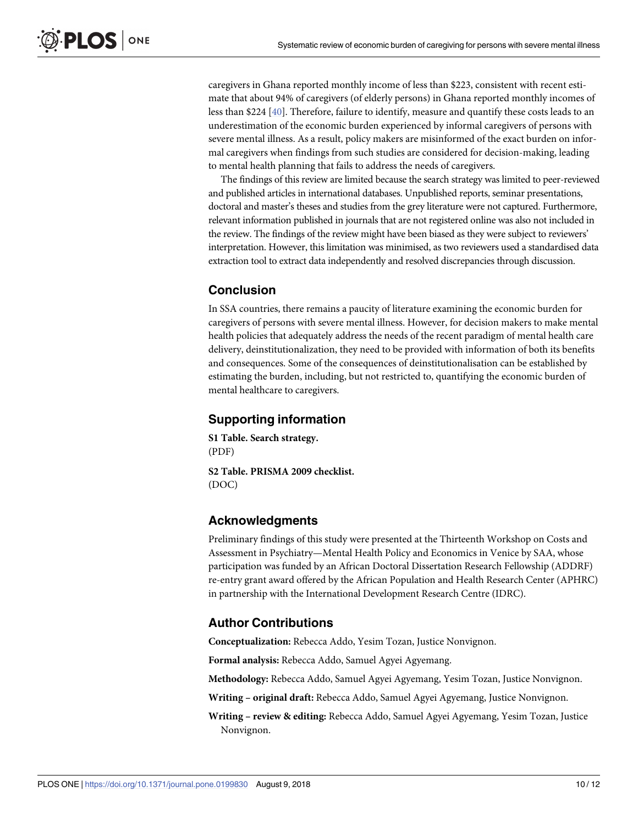<span id="page-9-0"></span>caregivers in Ghana reported monthly income of less than \$223, consistent with recent estimate that about 94% of caregivers (of elderly persons) in Ghana reported monthly incomes of less than \$224 [\[40\]](#page-11-0). Therefore, failure to identify, measure and quantify these costs leads to an underestimation of the economic burden experienced by informal caregivers of persons with severe mental illness. As a result, policy makers are misinformed of the exact burden on informal caregivers when findings from such studies are considered for decision-making, leading to mental health planning that fails to address the needs of caregivers.

The findings of this review are limited because the search strategy was limited to peer-reviewed and published articles in international databases. Unpublished reports, seminar presentations, doctoral and master's theses and studies from the grey literature were not captured. Furthermore, relevant information published in journals that are not registered online was also not included in the review. The findings of the review might have been biased as they were subject to reviewers' interpretation. However, this limitation was minimised, as two reviewers used a standardised data extraction tool to extract data independently and resolved discrepancies through discussion.

### **Conclusion**

In SSA countries, there remains a paucity of literature examining the economic burden for caregivers of persons with severe mental illness. However, for decision makers to make mental health policies that adequately address the needs of the recent paradigm of mental health care delivery, deinstitutionalization, they need to be provided with information of both its benefits and consequences. Some of the consequences of deinstitutionalisation can be established by estimating the burden, including, but not restricted to, quantifying the economic burden of mental healthcare to caregivers.

## **Supporting information**

**S1 [Table.](http://www.plosone.org/article/fetchSingleRepresentation.action?uri=info:doi/10.1371/journal.pone.0199830.s001) Search strategy.** (PDF)

**S2 [Table.](http://www.plosone.org/article/fetchSingleRepresentation.action?uri=info:doi/10.1371/journal.pone.0199830.s002) PRISMA 2009 checklist.** (DOC)

## **Acknowledgments**

Preliminary findings of this study were presented at the Thirteenth Workshop on Costs and Assessment in Psychiatry—Mental Health Policy and Economics in Venice by SAA, whose participation was funded by an African Doctoral Dissertation Research Fellowship (ADDRF) re-entry grant award offered by the African Population and Health Research Center (APHRC) in partnership with the International Development Research Centre (IDRC).

### **Author Contributions**

**Conceptualization:** Rebecca Addo, Yesim Tozan, Justice Nonvignon.

**Formal analysis:** Rebecca Addo, Samuel Agyei Agyemang.

**Methodology:** Rebecca Addo, Samuel Agyei Agyemang, Yesim Tozan, Justice Nonvignon.

**Writing – original draft:** Rebecca Addo, Samuel Agyei Agyemang, Justice Nonvignon.

**Writing – review & editing:** Rebecca Addo, Samuel Agyei Agyemang, Yesim Tozan, Justice Nonvignon.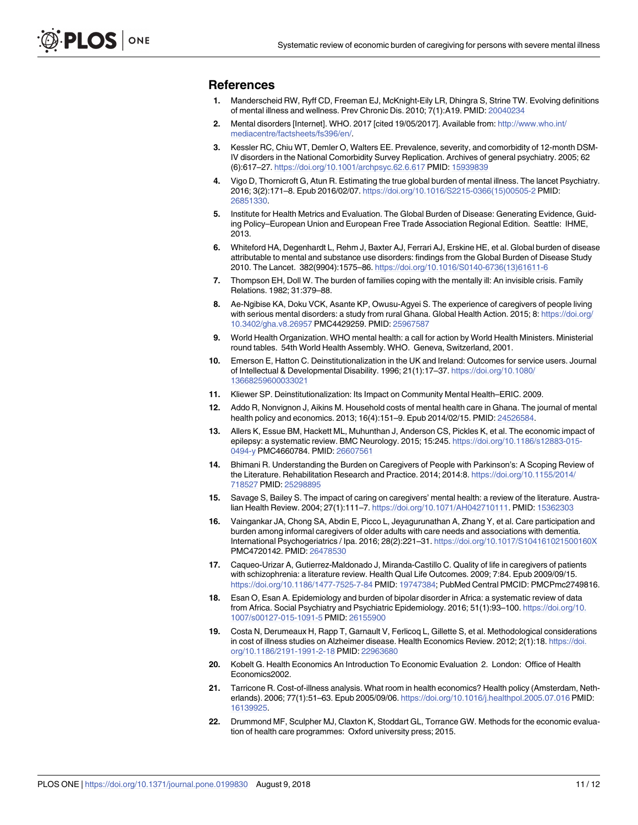#### <span id="page-10-0"></span>**References**

- **[1](#page-1-0).** Manderscheid RW, Ryff CD, Freeman EJ, McKnight-Eily LR, Dhingra S, Strine TW. Evolving definitions of mental illness and wellness. Prev Chronic Dis. 2010; 7(1):A19. PMID: [20040234](http://www.ncbi.nlm.nih.gov/pubmed/20040234)
- **[2](#page-1-0).** Mental disorders [Internet]. WHO. 2017 [cited 19/05/2017]. Available from: [http://www.who.int/](http://www.who.int/mediacentre/factsheets/fs396/en/) [mediacentre/factsheets/fs396/en/](http://www.who.int/mediacentre/factsheets/fs396/en/).
- **[3](#page-1-0).** Kessler RC, Chiu WT, Demler O, Walters EE. Prevalence, severity, and comorbidity of 12-month DSM-IV disorders in the National Comorbidity Survey Replication. Archives of general psychiatry. 2005; 62 (6):617–27. <https://doi.org/10.1001/archpsyc.62.6.617> PMID: [15939839](http://www.ncbi.nlm.nih.gov/pubmed/15939839)
- **[4](#page-1-0).** Vigo D, Thornicroft G, Atun R. Estimating the true global burden of mental illness. The lancet Psychiatry. 2016; 3(2):171–8. Epub 2016/02/07. [https://doi.org/10.1016/S2215-0366\(15\)00505-2](https://doi.org/10.1016/S2215-0366(15)00505-2) PMID: [26851330](http://www.ncbi.nlm.nih.gov/pubmed/26851330).
- **[5](#page-1-0).** Institute for Health Metrics and Evaluation. The Global Burden of Disease: Generating Evidence, Guiding Policy–European Union and European Free Trade Association Regional Edition. Seattle: IHME, 2013.
- **[6](#page-1-0).** Whiteford HA, Degenhardt L, Rehm J, Baxter AJ, Ferrari AJ, Erskine HE, et al. Global burden of disease attributable to mental and substance use disorders: findings from the Global Burden of Disease Study 2010. The Lancet. 382(9904):1575–86. [https://doi.org/10.1016/S0140-6736\(13\)61611-6](https://doi.org/10.1016/S0140-6736(13)61611-6)
- **[7](#page-1-0).** Thompson EH, Doll W. The burden of families coping with the mentally ill: An invisible crisis. Family Relations. 1982; 31:379–88.
- **[8](#page-1-0).** Ae-Ngibise KA, Doku VCK, Asante KP, Owusu-Agyei S. The experience of caregivers of people living with serious mental disorders: a study from rural Ghana. Global Health Action. 2015; 8: [https://doi.org/](https://doi.org/10.3402/gha.v8.26957) [10.3402/gha.v8.26957](https://doi.org/10.3402/gha.v8.26957) PMC4429259. PMID: [25967587](http://www.ncbi.nlm.nih.gov/pubmed/25967587)
- **[9](#page-1-0).** World Health Organization. WHO mental health: a call for action by World Health Ministers. Ministerial round tables. 54th World Health Assembly. WHO. Geneva, Switzerland, 2001.
- **[10](#page-1-0).** Emerson E, Hatton C. Deinstitutionalization in the UK and Ireland: Outcomes for service users. Journal of Intellectual & Developmental Disability. 1996; 21(1):17–37. [https://doi.org/10.1080/](https://doi.org/10.1080/13668259600033021) [13668259600033021](https://doi.org/10.1080/13668259600033021)
- **[11](#page-1-0).** Kliewer SP. Deinstitutionalization: Its Impact on Community Mental Health–ERIC. 2009.
- **[12](#page-1-0).** Addo R, Nonvignon J, Aikins M. Household costs of mental health care in Ghana. The journal of mental health policy and economics. 2013; 16(4):151–9. Epub 2014/02/15. PMID: [24526584.](http://www.ncbi.nlm.nih.gov/pubmed/24526584)
- **[13](#page-8-0).** Allers K, Essue BM, Hackett ML, Muhunthan J, Anderson CS, Pickles K, et al. The economic impact of epilepsy: a systematic review. BMC Neurology. 2015; 15:245. [https://doi.org/10.1186/s12883-015-](https://doi.org/10.1186/s12883-015-0494-y) [0494-y](https://doi.org/10.1186/s12883-015-0494-y) PMC4660784. PMID: [26607561](http://www.ncbi.nlm.nih.gov/pubmed/26607561)
- **[14](#page-1-0).** Bhimani R. Understanding the Burden on Caregivers of People with Parkinson's: A Scoping Review of the Literature. Rehabilitation Research and Practice. 2014; 2014:8. [https://doi.org/10.1155/2014/](https://doi.org/10.1155/2014/718527) [718527](https://doi.org/10.1155/2014/718527) PMID: [25298895](http://www.ncbi.nlm.nih.gov/pubmed/25298895)
- **15.** Savage S, Bailey S. The impact of caring on caregivers' mental health: a review of the literature. Australian Health Review. 2004; 27(1):111–7. <https://doi.org/10.1071/AH042710111>. PMID: [15362303](http://www.ncbi.nlm.nih.gov/pubmed/15362303)
- **[16](#page-1-0).** Vaingankar JA, Chong SA, Abdin E, Picco L, Jeyagurunathan A, Zhang Y, et al. Care participation and burden among informal caregivers of older adults with care needs and associations with dementia. International Psychogeriatrics / Ipa. 2016; 28(2):221–31. <https://doi.org/10.1017/S104161021500160X> PMC4720142. PMID: [26478530](http://www.ncbi.nlm.nih.gov/pubmed/26478530)
- **[17](#page-1-0).** Caqueo-Urizar A, Gutierrez-Maldonado J, Miranda-Castillo C. Quality of life in caregivers of patients with schizophrenia: a literature review. Health Qual Life Outcomes. 2009; 7:84. Epub 2009/09/15. <https://doi.org/10.1186/1477-7525-7-84> PMID: [19747384](http://www.ncbi.nlm.nih.gov/pubmed/19747384); PubMed Central PMCID: PMCPmc2749816.
- **[18](#page-1-0).** Esan O, Esan A. Epidemiology and burden of bipolar disorder in Africa: a systematic review of data from Africa. Social Psychiatry and Psychiatric Epidemiology. 2016; 51(1):93–100. [https://doi.org/10.](https://doi.org/10.1007/s00127-015-1091-5) [1007/s00127-015-1091-5](https://doi.org/10.1007/s00127-015-1091-5) PMID: [26155900](http://www.ncbi.nlm.nih.gov/pubmed/26155900)
- **[19](#page-2-0).** Costa N, Derumeaux H, Rapp T, Garnault V, Ferlicoq L, Gillette S, et al. Methodological considerations in cost of illness studies on Alzheimer disease. Health Economics Review. 2012; 2(1):18. [https://doi.](https://doi.org/10.1186/2191-1991-2-18) [org/10.1186/2191-1991-2-18](https://doi.org/10.1186/2191-1991-2-18) PMID: [22963680](http://www.ncbi.nlm.nih.gov/pubmed/22963680)
- **20.** Kobelt G. Health Economics An Introduction To Economic Evaluation 2. London: Office of Health Economics2002.
- **[21](#page-2-0).** Tarricone R. Cost-of-illness analysis. What room in health economics? Health policy (Amsterdam, Netherlands). 2006; 77(1):51–63. Epub 2005/09/06. <https://doi.org/10.1016/j.healthpol.2005.07.016> PMID: [16139925](http://www.ncbi.nlm.nih.gov/pubmed/16139925).
- **[22](#page-2-0).** Drummond MF, Sculpher MJ, Claxton K, Stoddart GL, Torrance GW. Methods for the economic evaluation of health care programmes: Oxford university press; 2015.